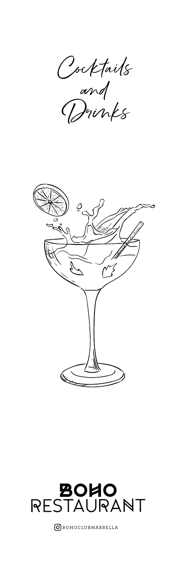Cocktails and Drinks





OBOHOCLUBMARBELLA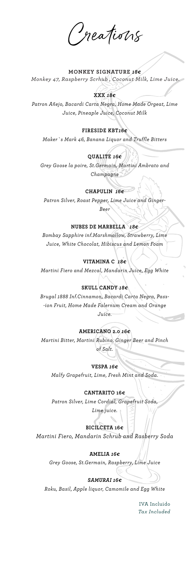Creations

# **MONKEY SIGNATURE** *18€ Monkey 47, Raspberry Scrhub , Coconut Milk, Lime Juice.*

### **XXX** *18€*

*Patron Añejo, Bacardi Carta Negra, Home Made Orgeat, Lime Juice, Pineaple Juice, Coconut Milk*

### **FIRESIDE KBT***16€*

*Maker`s Mark 46, Banana Liquor and Truffle Bitters*

#### **QUALITE** *16€*

*Grey Goose la poire, St.Germain, Martini Ambrato and Champagne*

#### **CHAPULIN** *16€*

*Patron Silver, Roast Pepper, Lime Juice and Ginger-Beer*

# **NUBES DE MARBELLA** *18€*

*Bombay Sapphire inf.Marshmallow, Strawberry, Lime Juice, White Chocolat, Hibiscus and Lemon Foam*

## **VITAMINA C** *18€*

*Martini Fiero and Mezcal, Mandarin Juice, Egg White*

### **SKULL CANDY** *18€*

*Brugal 1888 Inf.Cinnamon, Bacardi Carta Negra, Pass- -ion Fruit, Home Made Falernum Cream and Orange Juice.*

#### **AMERICANO 2.0** *16€*

*Martini Bitter, Martini Rubino, Ginger Beer and Pinch of Salt.*

**VESPA** *16€*

*Malfy Grapefruit, Lime, Fresh Mint and Soda.*

#### **CANTARITO 16€**

*Patron Silver, Lime Cordial, Grapefruit Soda,* 

*Lime juice.*

#### **BICILCETA 16€**

*Martini Fiero, Mandarin Schrub and Rasberry Soda*

#### **AMELIA** *16€*

*Grey Goose, St.Germain, Raspberry, Lime Juice*

#### *SAMURAI 16€*

*Roku, Basil, Apple liquor, Camomile and Egg White*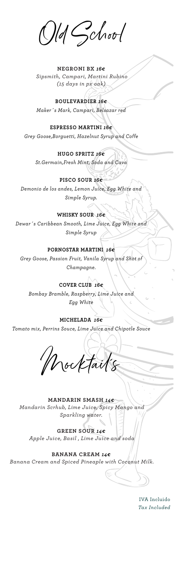Old School

**NEGRONI BX** *16€ Sipsmith, Campari, Martini Rubino (15 days in px oak)* 

**BOULEVARDIER** *16€ Maker´s Mark, Campari, Belsazar red*

**ESPRESSO MARTINI** *16€ Grey Goose,Borguetti, Hazelnut Syrup and Coffe*

# **HUGO SPRITZ** *16€*

*St.Germain,Fresh Mint, Soda and Cava*

### **PISCO SOUR** *16€*

*Demonio de los andes, Lemon Juice, Egg White and Simple Syrup.*

### **WHISKY SOUR** *16€*

*Dewar´s Caribbean Smooth, Lime Juice, Egg White and Simple Syrup*

# **PORNOSTAR MARTINI** *16€*

*Grey Goose, Passion Fruit, Vanila Syrup and Shot of Champagne.*

#### **COVER CLUB** *16€*

*Bombay Bramble, Raspberry, Lime Juice and Egg White*

**MICHELADA** *16€ Tomato mix, Perrins Souce, Lime Juice and Chipotle Souce*

Mocktail´s

**MANDARIN SMASH** *14€ Mandarin Scrhub, Lime Juice, Spicy Mango and Sparkling water.*

**GREEN SOUR** *14€ Apple Juice, Basil , Lime Juice and soda*

**BANANA CREAM** *14€ Banana Cream and Spiced Pineaple with Coconut Milk.* 

IVA Incluido *Tax Included*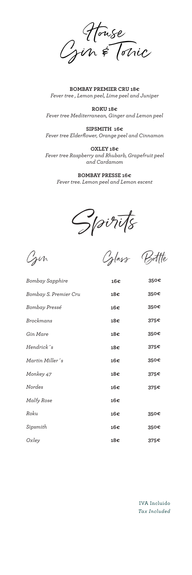House  $C_j$ in & Conic

**BOMBAY PREMIER CRU 18€** *Fever tree , Lemon peel, Lime peel and Juniper*

**ROKU 18€** *Fever tree Mediterranean, Ginger and Lemon peel*

**SIPSMITH 16€** *Fever tree Elderflower, Orange peel and Cinnamon*

**OXLEY 18€** *Fever tree Raspberry and Rhubarb, Grapefruit peel and Cardamom*

**BOMBAY PRESSE 16€** *Fever tree. Lemon peel and Lemon escent*

Spirits

Gin Glass Bottle

| <b>Bombay Sapphire</b> | 16€ | 350€ |
|------------------------|-----|------|
| Bombay S. Premier Cru  | 18€ | 350€ |
| Bombay Pressé          | 16€ | 350€ |
| <b>Brockmans</b>       | 18€ | 375€ |
| Gin Mare               | 18€ | 350€ |
| Hendrick s             | 18€ | 375€ |
| Martin Miller's        | 16€ | 350€ |
| Monkey 47              | 18€ | 375€ |
| Nordes                 | 16€ | 375€ |
| Malfy Rose             | 16€ |      |
| Roku                   | 16€ | 350€ |
| Sipsmith               | 16€ | 350€ |
| Oxley                  | 18€ | 375€ |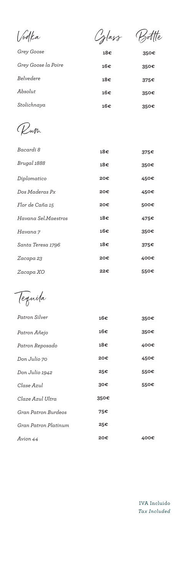| Vodka               | Cylass | ltte |
|---------------------|--------|------|
| Grey Goose          | 18€    | 350€ |
| Grey Goose la Poire | 16€    | 350€ |
| Belvedere           | 18€    | 375€ |
| Absolut             | 16€    | 350€ |
|                     |        |      |

**16€**

**350€**

*Stolichnaya* 

Rum

| Bacardi 8           | 18€ | 375€ |
|---------------------|-----|------|
| Brugal 1888         | 18€ | 350€ |
| Diplomatico         | 20€ | 450€ |
| Dos Maderas Px      | 20€ | 450€ |
| Flor de Caña 15     | 20€ | 500€ |
| Havana Sel.Maestros | 18€ | 475€ |
| Havana 7            | 16€ | 350€ |
| Santa Teresa 1796   | 18€ | 375€ |
| Zacapa 23           | 20€ | 400€ |
| Zacapa XO           | 22€ | 550€ |

Tequila

| Patron Silver        | 16€  | 350€ |
|----------------------|------|------|
| Patron Añejo         | 16€  | 350€ |
| Patron Reposado      | 18€  | 400€ |
| Don Julio 70         | 20€  | 450€ |
| Don Julio 1942       | 25€  | 550€ |
| Clase Azul           | 30€  | 550€ |
| Claze Azul Ultra     | 350€ |      |
| Gran Patron Burdeos  | 75€  |      |
| Gran Patron Platinum | 25€  |      |
| Avion 44             | 20€  | 400€ |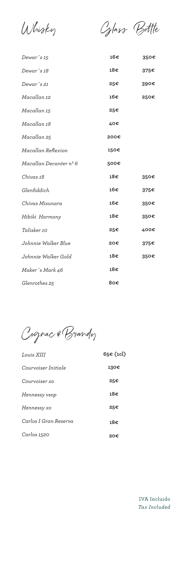Whisky Glass Bottle

| Dewar's 15             | 16€  | 350€ |
|------------------------|------|------|
| Dewar's 18             | 18€  | 375€ |
| Dewar's 21             | 25€  | 390€ |
| Macallan 12            | 16€  | 250€ |
| Macallan 15            | 25€  |      |
| Macallan 18            | 40€  |      |
| Macallan 25            | 200€ |      |
| Macallan Reflexion     | 150€ |      |
| Macallan Decanter nº 6 | 500€ |      |
| Chivas 18              | 18€  | 350€ |
| Glenfiddich            | 16€  | 375€ |
| Chivas Misunara        | 16€  | 350€ |
| Hibiki Harmony         | 18€  | 350€ |
| Talisker 10            | 25€  | 400€ |
| Johnnie Walker Blue    | 20€  | 375€ |
| Johnnie Walker Gold    | 18€  | 350€ |
| Maker's Mark 46        | 18€  |      |
| Glenrothes 25          | 80€  |      |

Cognac & Brandy

| Louis XIII            | 65€ (1cl) |
|-----------------------|-----------|
| Courvoiser Initiale   | 130€      |
| Courvoiser xo         | 25€       |
| Hennessy vsop         | 18€       |
| Hennessy xo           | 25€       |
| Carlos I Gran Reserva | 18€       |
| Carlos 1520           | 20€       |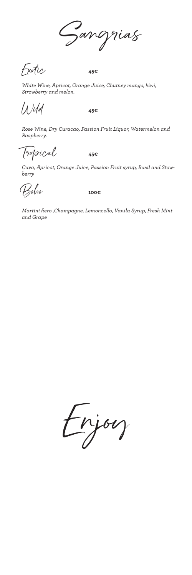Sangrias

Exotic **45€**

*White Wine, Apricot, Orange Juice, Chutney mango, kiwi, Strowberry and melon.*

Wild **45€**

*Rose Wine, Dry Curacao, Passion Fruit Liquor, Watermelon and Raspberry.*

Tropical **45€**

*Cava, Apricot, Orange Juice, Passion Fruit syrup, Basil and Stowberry*

Boho **100€**

*Martini fiero ,Champagne, Lemoncello, Vanila Syrup, Fresh Mint and Grape*

Enjoy